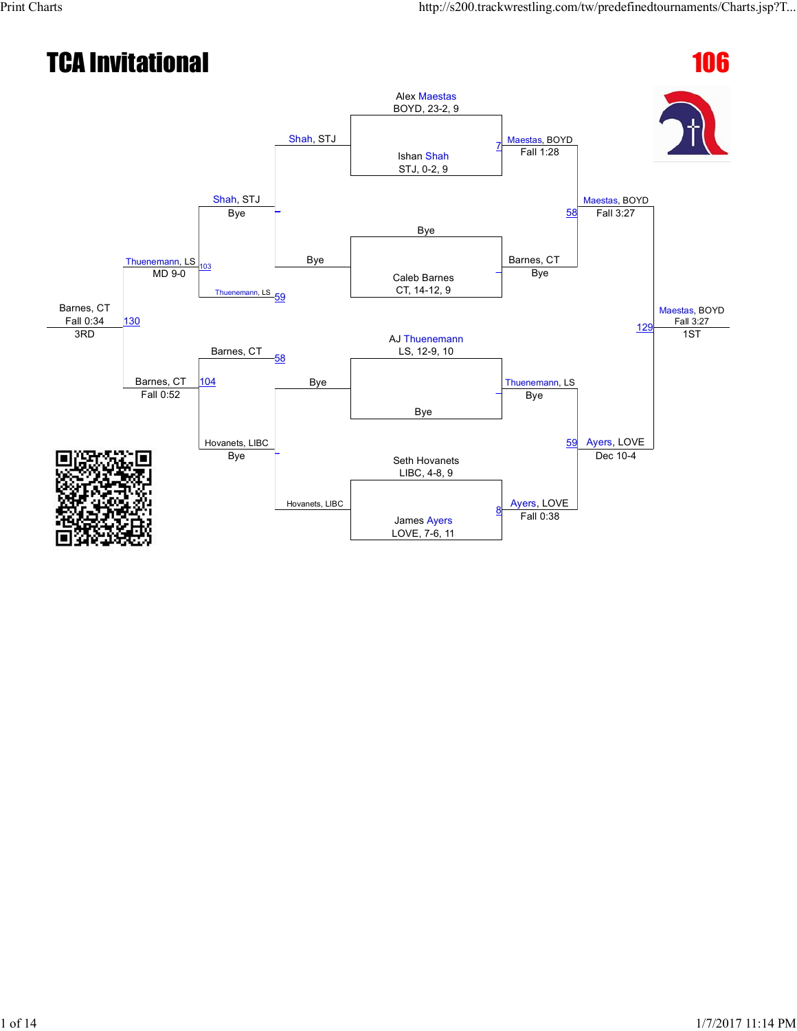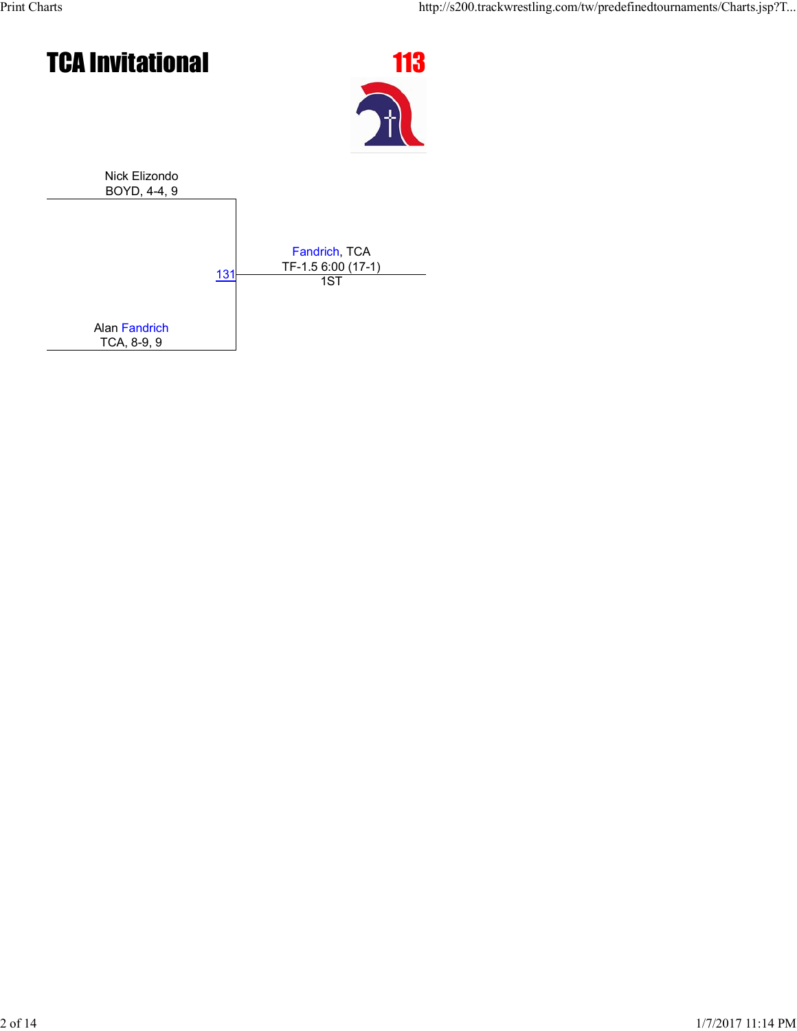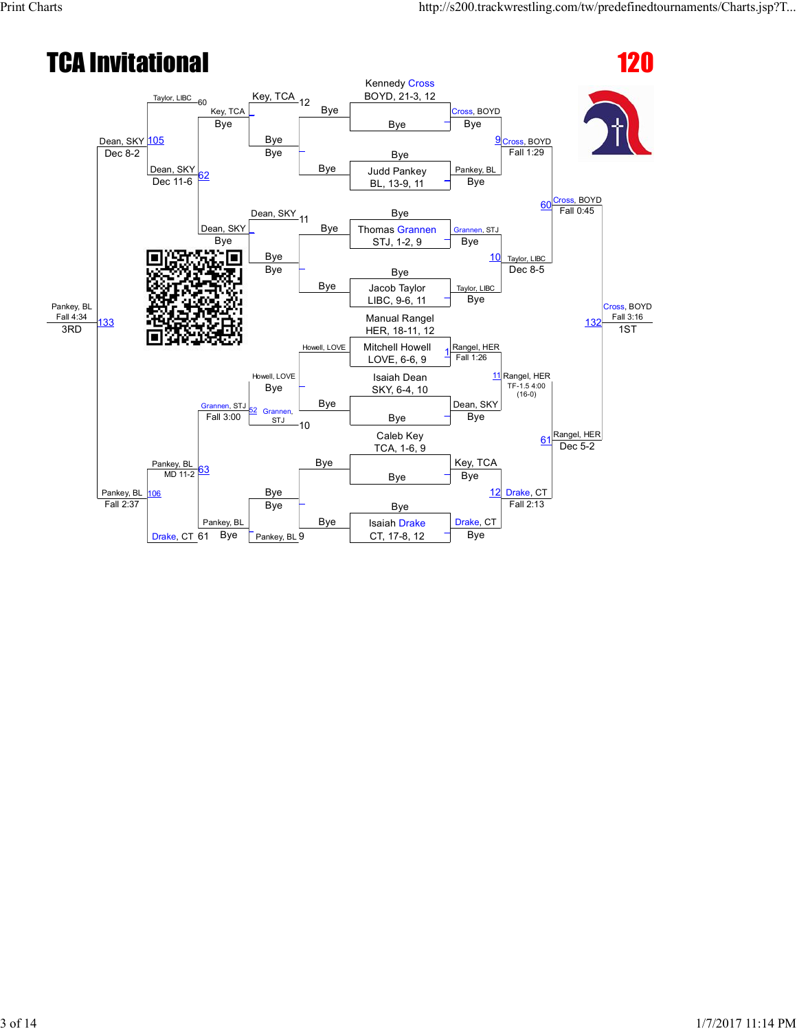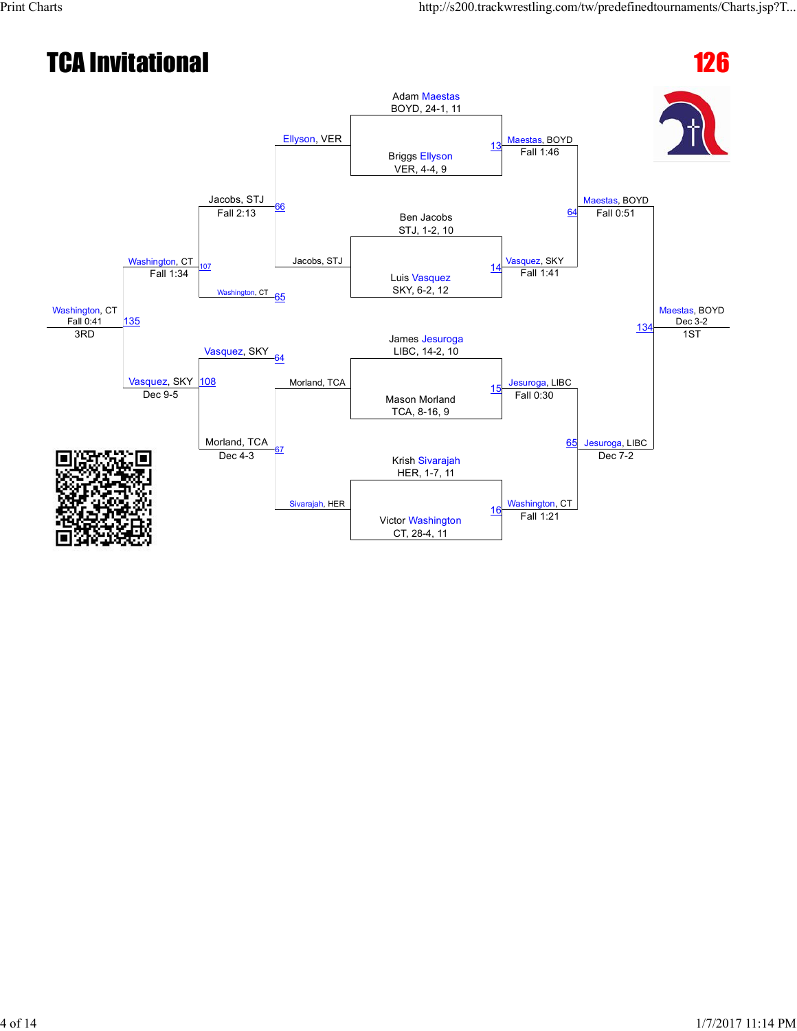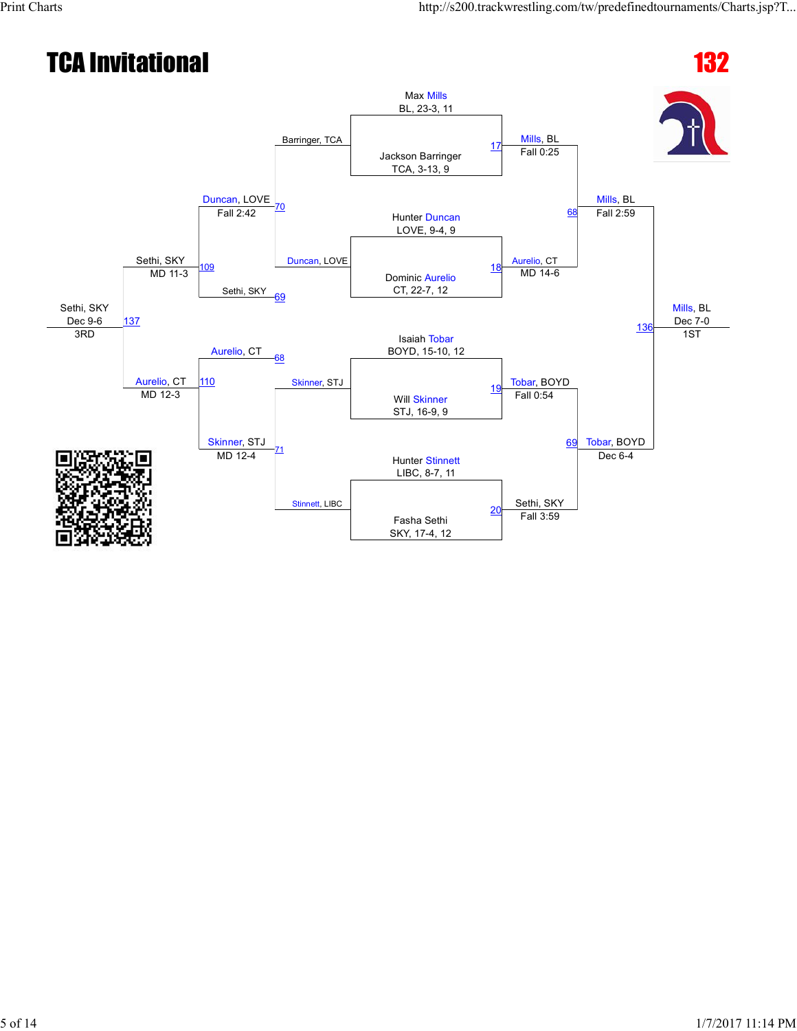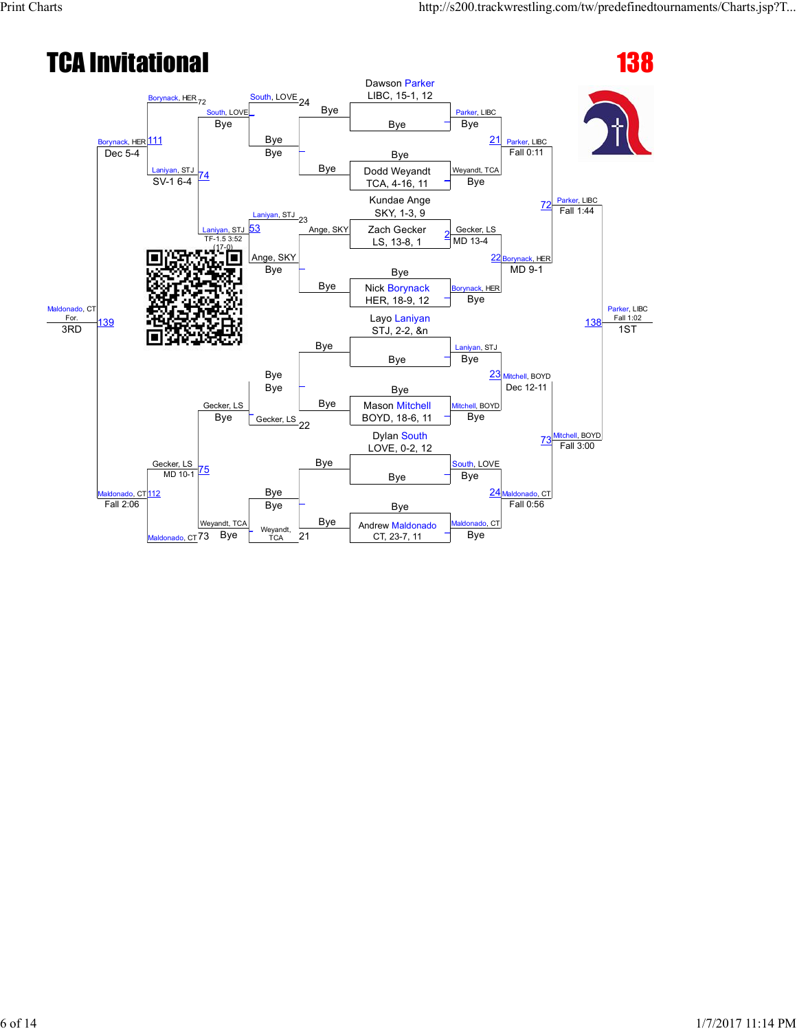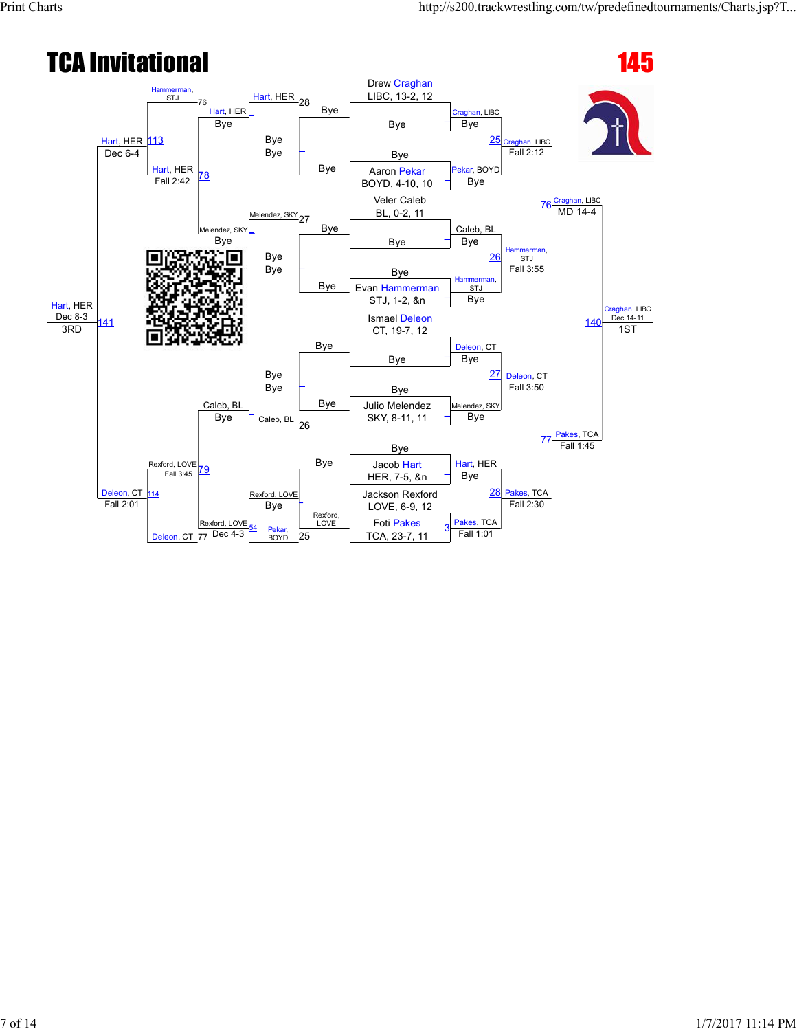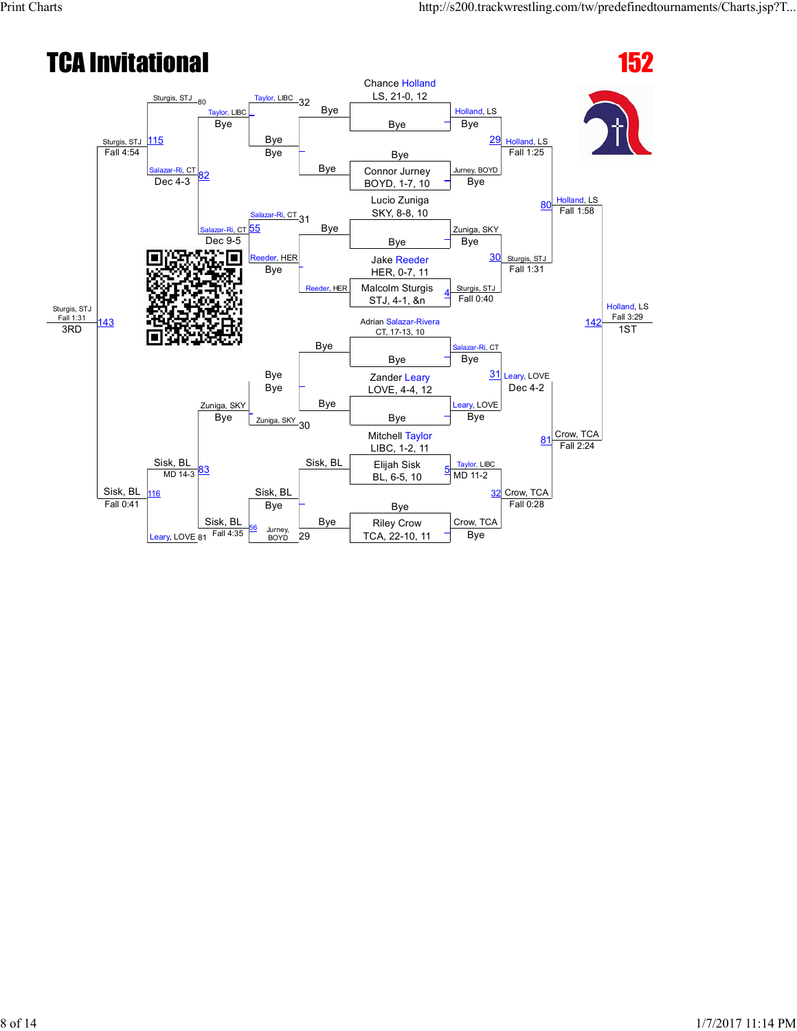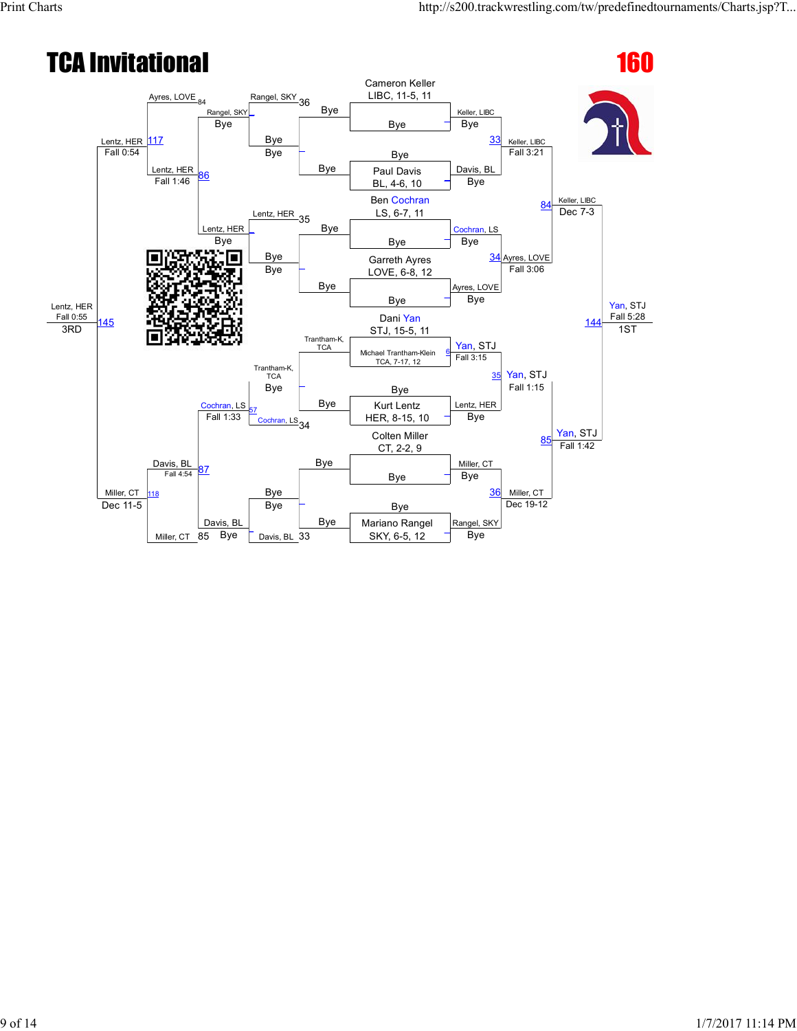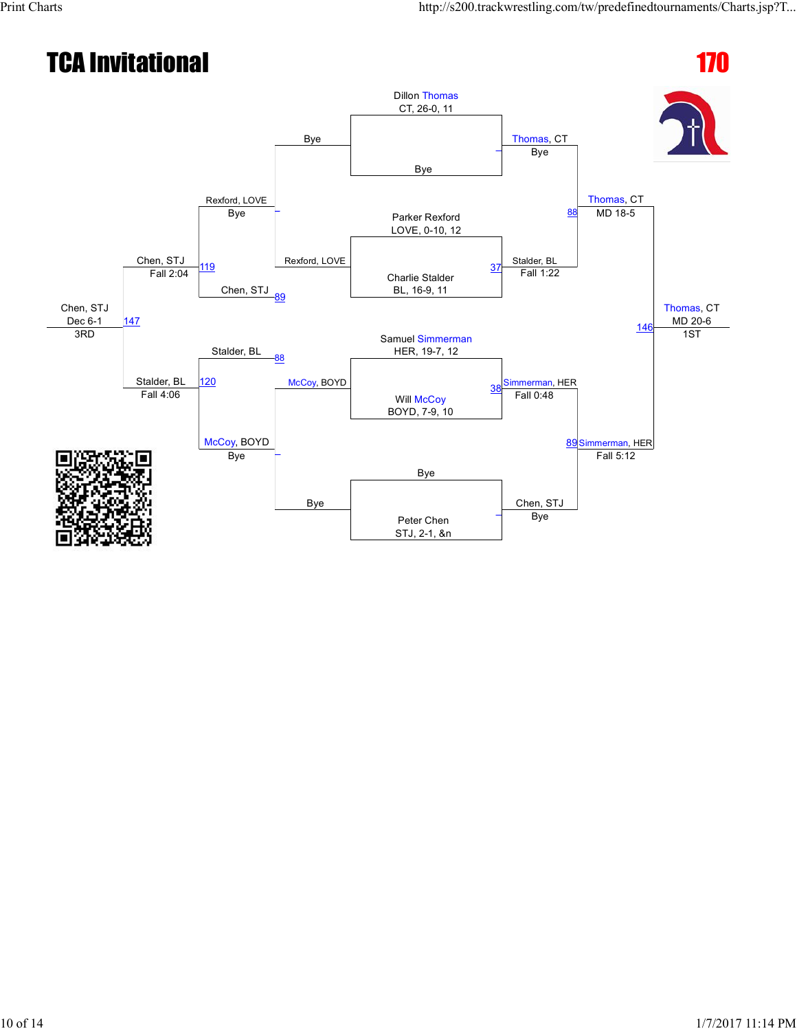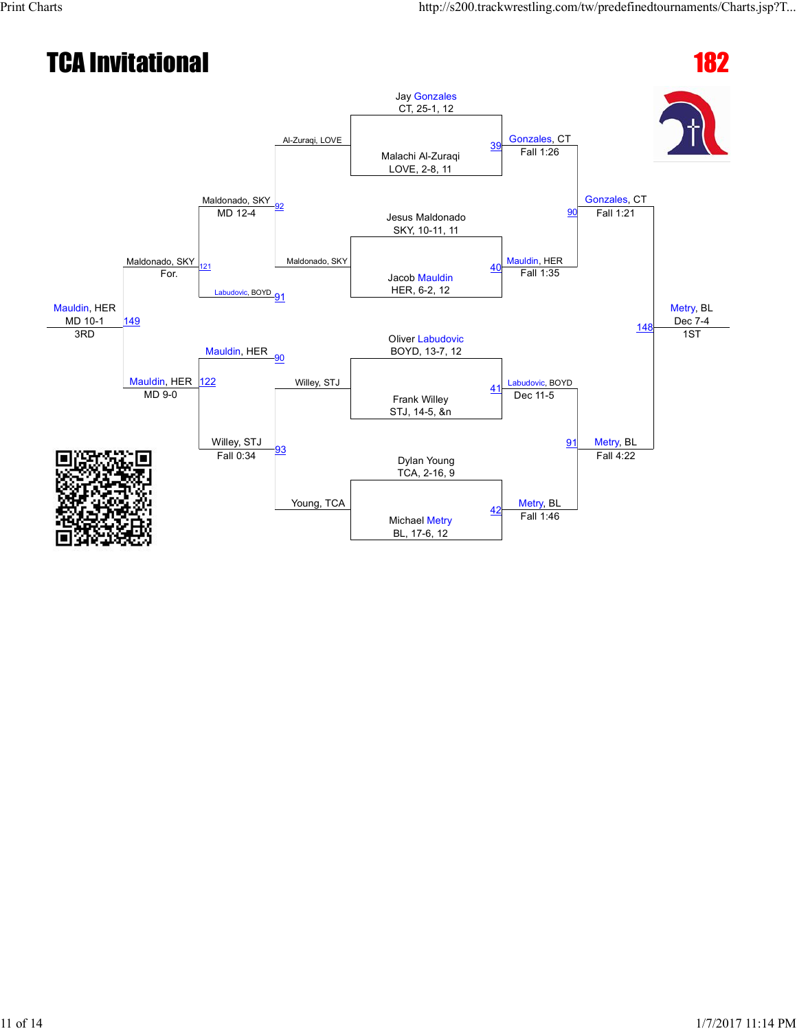# TCA Invitational 182





Jay Gonzales CT, 25-1, 12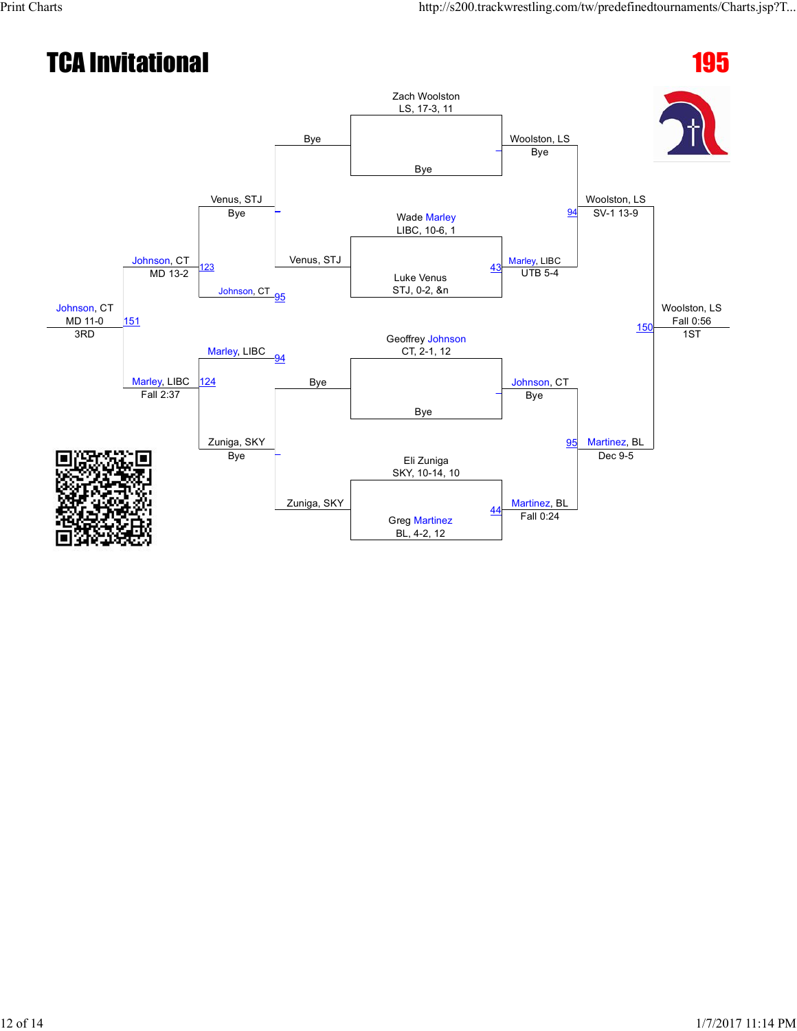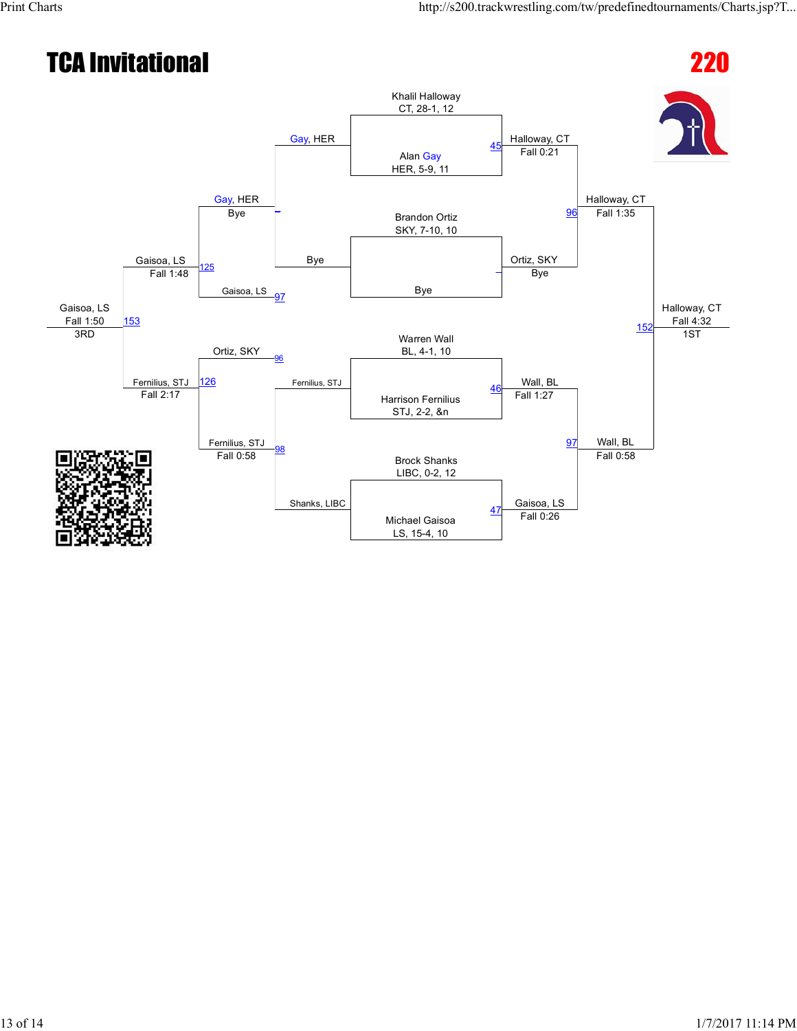